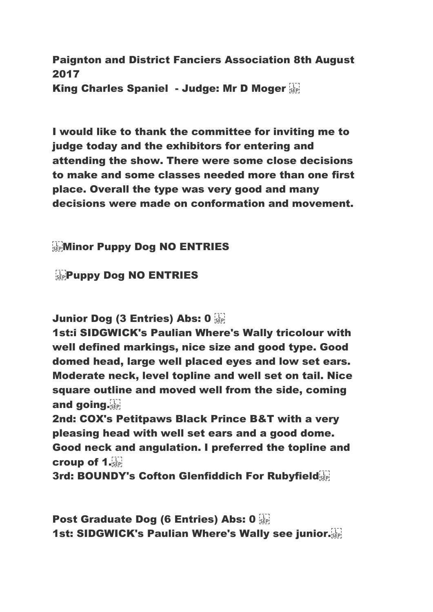Paignton and District Fanciers Association 8th August 2017 King Charles Spaniel - Judge: Mr D Moger

I would like to thank the committee for inviting me to judge today and the exhibitors for entering and attending the show. There were some close decisions to make and some classes needed more than one first place. Overall the type was very good and many decisions were made on conformation and movement.

## **ENTRIES**

**Puppy Dog NO ENTRIES** 

Junior Dog (3 Entries) Abs: 0

1st:i SIDGWICK's Paulian Where's Wally tricolour with well defined markings, nice size and good type. Good domed head, large well placed eyes and low set ears. Moderate neck, level topline and well set on tail. Nice square outline and moved well from the side, coming and going.

2nd: COX's Petitpaws Black Prince B&T with a very pleasing head with well set ears and a good dome. Good neck and angulation. I preferred the topline and croup of 1.

3rd: BOUNDY's Cofton Glenfiddich For Rubyfield

Post Graduate Dog (6 Entries) Abs: 0 1st: SIDGWICK's Paulian Where's Wally see junior.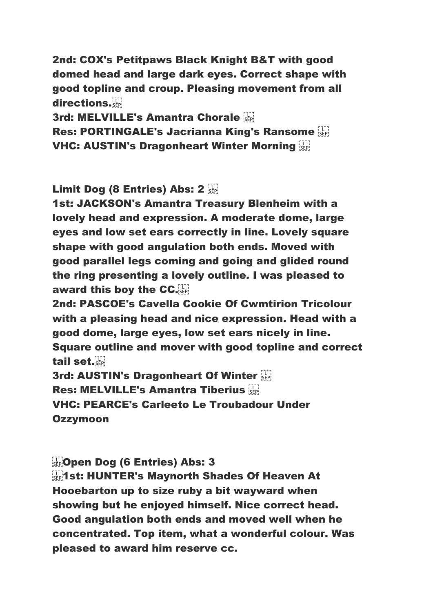2nd: COX's Petitpaws Black Knight B&T with good domed head and large dark eyes. Correct shape with good topline and croup. Pleasing movement from all directions.

3rd: MELVILLE's Amantra Chorale

Res: PORTINGALE's Jacrianna King's Ransome VHC: AUSTIN's Dragonheart Winter Morning

Limit Dog (8 Entries) Abs: 2

1st: JACKSON's Amantra Treasury Blenheim with a lovely head and expression. A moderate dome, large eyes and low set ears correctly in line. Lovely square shape with good angulation both ends. Moved with good parallel legs coming and going and glided round the ring presenting a lovely outline. I was pleased to award this boy the CC.

2nd: PASCOE's Cavella Cookie Of Cwmtirion Tricolour with a pleasing head and nice expression. Head with a good dome, large eyes, low set ears nicely in line. Square outline and mover with good topline and correct tail set.

3rd: AUSTIN's Dragonheart Of Winter Res: MELVILLE's Amantra Tiberius VHC: PEARCE's Carleeto Le Troubadour Under Ozzymoon

**CODEN Dog (6 Entries) Abs: 3** 

**11.1st: HUNTER's Maynorth Shades Of Heaven At** Hooebarton up to size ruby a bit wayward when showing but he enjoyed himself. Nice correct head. Good angulation both ends and moved well when he concentrated. Top item, what a wonderful colour. Was pleased to award him reserve cc.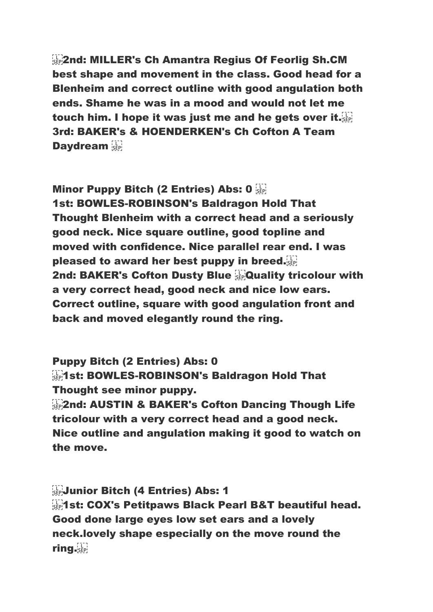**Example: MILLER's Ch Amantra Regius Of Feorlig Sh.CM** best shape and movement in the class. Good head for a Blenheim and correct outline with good angulation both ends. Shame he was in a mood and would not let me touch him. I hope it was just me and he gets over it. 3rd: BAKER's & HOENDERKEN's Ch Cofton A Team **Daydream** 

Minor Puppy Bitch (2 Entries) Abs: 0 1st: BOWLES-ROBINSON's Baldragon Hold That Thought Blenheim with a correct head and a seriously good neck. Nice square outline, good topline and moved with confidence. Nice parallel rear end. I was pleased to award her best puppy in breed. 2nd: BAKER's Cofton Dusty Blue **Company** Criticolour with a very correct head, good neck and nice low ears. Correct outline, square with good angulation front and back and moved elegantly round the ring.

Puppy Bitch (2 Entries) Abs: 0 **Example 1st: BOWLES-ROBINSON's Baldragon Hold That** Thought see minor puppy.

**2nd: AUSTIN & BAKER's Cofton Dancing Though Life** tricolour with a very correct head and a good neck. Nice outline and angulation making it good to watch on the move.

 Junior Bitch (4 Entries) Abs: 1 **1921 St: COX's Petitpaws Black Pearl B&T beautiful head.** Good done large eyes low set ears and a lovely neck.lovely shape especially on the move round the ring.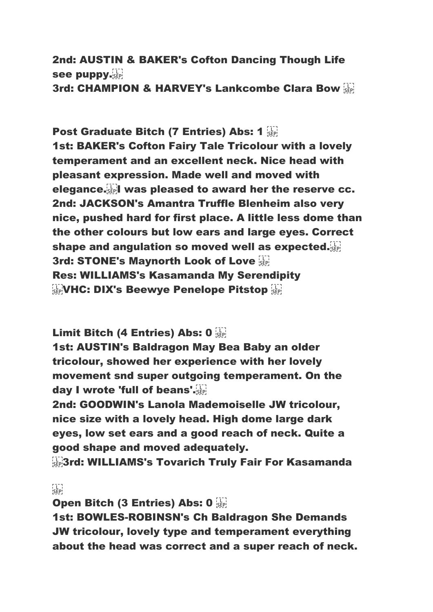2nd: AUSTIN & BAKER's Cofton Dancing Though Life see puppy. 3rd: CHAMPION & HARVEY's Lankcombe Clara Bow

Post Graduate Bitch (7 Entries) Abs: 1 1st: BAKER's Cofton Fairy Tale Tricolour with a lovely temperament and an excellent neck. Nice head with pleasant expression. Made well and moved with elegance. I was pleased to award her the reserve cc. 2nd: JACKSON's Amantra Truffle Blenheim also very nice, pushed hard for first place. A little less dome than the other colours but low ears and large eyes. Correct shape and angulation so moved well as expected. 3rd: STONE's Maynorth Look of Love Res: WILLIAMS's Kasamanda My Serendipity **ETRO VHC: DIX's Beewye Penelope Pitstop SEPI** 

Limit Bitch (4 Entries) Abs: 0

1st: AUSTIN's Baldragon May Bea Baby an older tricolour, showed her experience with her lovely movement snd super outgoing temperament. On the day I wrote 'full of beans'.

2nd: GOODWIN's Lanola Mademoiselle JW tricolour, nice size with a lovely head. High dome large dark eyes, low set ears and a good reach of neck. Quite a good shape and moved adequately.

**SEP3rd: WILLIAMS's Tovarich Truly Fair For Kasamanda** 

 $\sum_{i \in P}$ 

Open Bitch (3 Entries) Abs: 0

1st: BOWLES-ROBINSN's Ch Baldragon She Demands JW tricolour, lovely type and temperament everything about the head was correct and a super reach of neck.